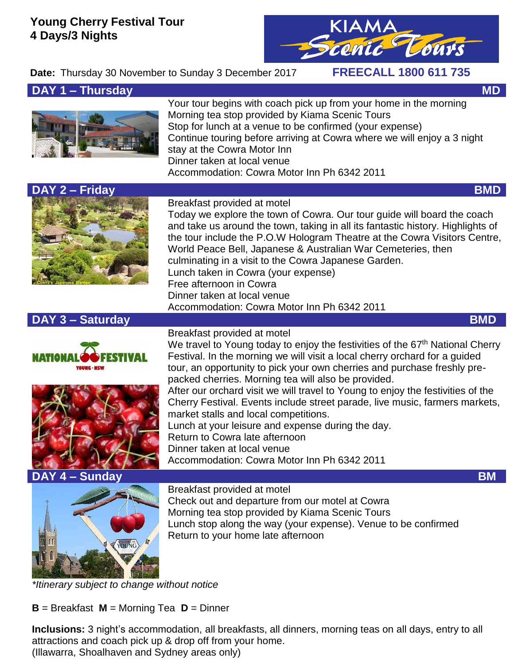## **Young Cherry Festival Tour 4 Days/3 Nights**

cenic Tours

# **Date:** Thursday 30 November to Sunday 3 December 2017 **FREECALL 1800 611 735**

## **DAY 1 – Thursday MD MD**

Your tour begins with coach pick up from your home in the morning Morning tea stop provided by Kiama Scenic Tours Stop for lunch at a venue to be confirmed (your expense) Continue touring before arriving at Cowra where we will enjoy a 3 night stay at the Cowra Motor Inn Dinner taken at local venue Accommodation: Cowra Motor Inn Ph 6342 2011



#### Breakfast provided at motel

Breakfast provided at motel

Today we explore the town of Cowra. Our tour guide will board the coach and take us around the town, taking in all its fantastic history. Highlights of the tour include the P.O.W Hologram Theatre at the Cowra Visitors Centre, World Peace Bell, Japanese & Australian War Cemeteries, then culminating in a visit to the Cowra Japanese Garden. Lunch taken in Cowra (your expense) Free afternoon in Cowra Dinner taken at local venue Accommodation: Cowra Motor Inn Ph 6342 2011

# **DAY 3 – Saturday BMD**







We travel to Young today to enjoy the festivities of the 67<sup>th</sup> National Cherry Festival. In the morning we will visit a local cherry orchard for a guided tour, an opportunity to pick your own cherries and purchase freshly prepacked cherries. Morning tea will also be provided. After our orchard visit we will travel to Young to enjoy the festivities of the Cherry Festival. Events include street parade, live music, farmers markets, market stalls and local competitions. Lunch at your leisure and expense during the day. Return to Cowra late afternoon Dinner taken at local venue Accommodation: Cowra Motor Inn Ph 6342 2011

Breakfast provided at motel Check out and departure from our motel at Cowra Morning tea stop provided by Kiama Scenic Tours Lunch stop along the way (your expense). Venue to be confirmed Return to your home late afternoon

*\*Itinerary subject to change without notice*

**B** = Breakfast **M** = Morning Tea **D** = Dinner

**Inclusions:** 3 night's accommodation, all breakfasts, all dinners, morning teas on all days, entry to all attractions and coach pick up & drop off from your home. (Illawarra, Shoalhaven and Sydney areas only)